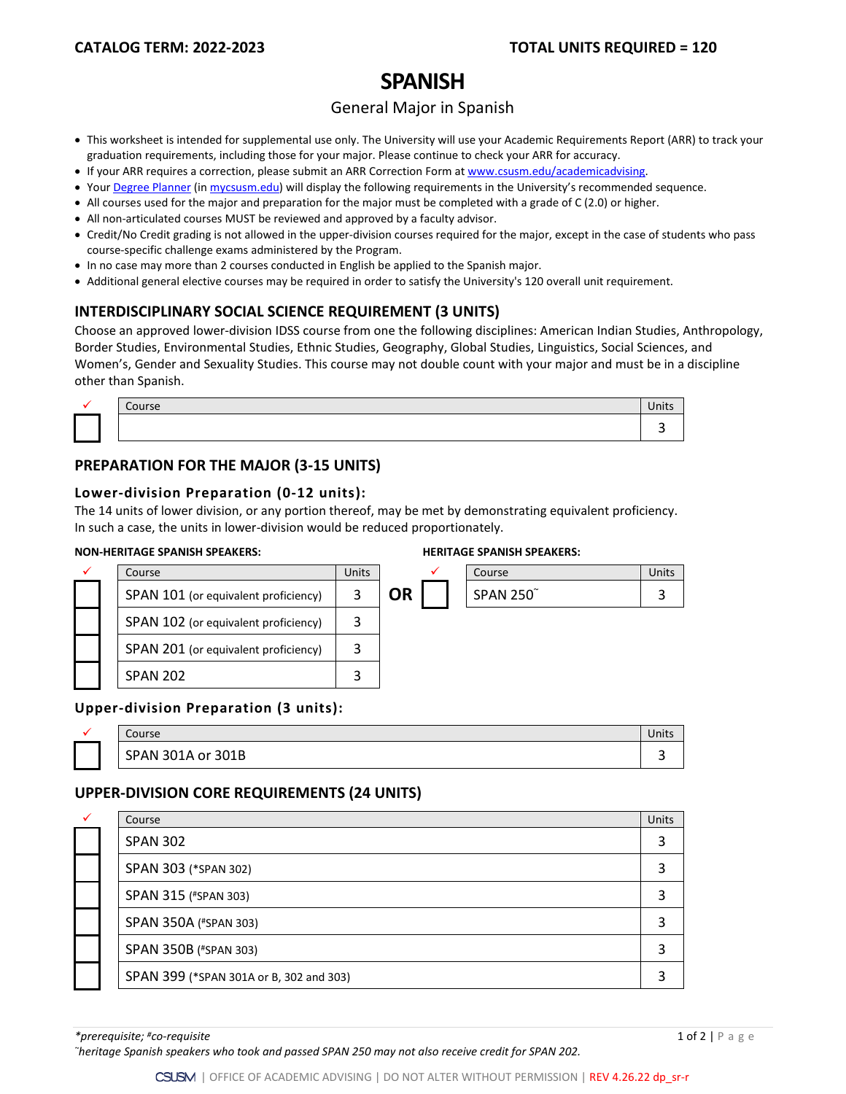# **SPANISH**

# General Major in Spanish

- This worksheet is intended for supplemental use only. The University will use your Academic Requirements Report (ARR) to track your graduation requirements, including those for your major. Please continue to check your ARR for accuracy.
- If your ARR requires a correction, please submit an [ARR Correction Form](http://www.csusm.edu/academicadvising/arrcorrection/index.html) a[t www.csusm.edu/academicadvising.](http://www.csusm.edu/academicadvising)
- You[r Degree Planner](https://www.csusm.edu/academicadvising/degreeplanner/index.html) (i[n mycsusm.edu\)](https://my.csusm.edu/) will display the following requirements in the University's recommended sequence.
- All courses used for the major and preparation for the major must be completed with a grade of C (2.0) or higher.
- All non-articulated courses MUST be reviewed and approved by a faculty advisor.
- Credit/No Credit grading is not allowed in the upper-division courses required for the major, except in the case of students who pass course-specific challenge exams administered by the Program.
- In no case may more than 2 courses conducted in English be applied to the Spanish major.
- Additional general elective courses may be required in order to satisfy the University's 120 overall unit requirement.

## **INTERDISCIPLINARY SOCIAL SCIENCE REQUIREMENT (3 UNITS)**

Choose an approved lower-division IDSS course from one the following disciplines: American Indian Studies, Anthropology, Border Studies, Environmental Studies, Ethnic Studies, Geography, Global Studies, Linguistics, Social Sciences, and Women's, Gender and Sexuality Studies. This course may not double count with your major and must be in a discipline other than Spanish.

|  | $\cdot$ $\cdot$ $\cdot$ $\cdot$ $\cdot$ |  |
|--|-----------------------------------------|--|
|  |                                         |  |

# **PREPARATION FOR THE MAJOR (3-15 UNITS)**

#### **Lower-division Preparation (0-12 units):**

The 14 units of lower division, or any portion thereof, may be met by demonstrating equivalent proficiency. In such a case, the units in lower-division would be reduced proportionately.

#### **NON-HERITAGE SPANISH SPEAKERS: HERITAGE SPANISH SPEAKERS:**



#### **Upper-division Preparation (3 units):**

| Course               | Units |
|----------------------|-------|
| SPAN 301A or<br>301B |       |

#### **UPPER-DIVISION CORE REQUIREMENTS (24 UNITS)**

| $\checkmark$ | Course                                  | Units |
|--------------|-----------------------------------------|-------|
|              | <b>SPAN 302</b>                         |       |
|              | SPAN 303 (*SPAN 302)                    |       |
|              | SPAN 315 (#SPAN 303)                    |       |
|              | SPAN 350A (#SPAN 303)                   |       |
|              | SPAN 350B (#SPAN 303)                   |       |
|              | SPAN 399 (*SPAN 301A or B, 302 and 303) |       |

*\*prerequisite; #co-requisite* 1 of 2 | Page

*~heritage Spanish speakers who took and passed SPAN 250 may not also receive credit for SPAN 202.*

CSUSM | OFFICE OF ACADEMIC ADVISING | DO NOT ALTER WITHOUT PERMISSION | REV 4.26.22 dp\_sr-r